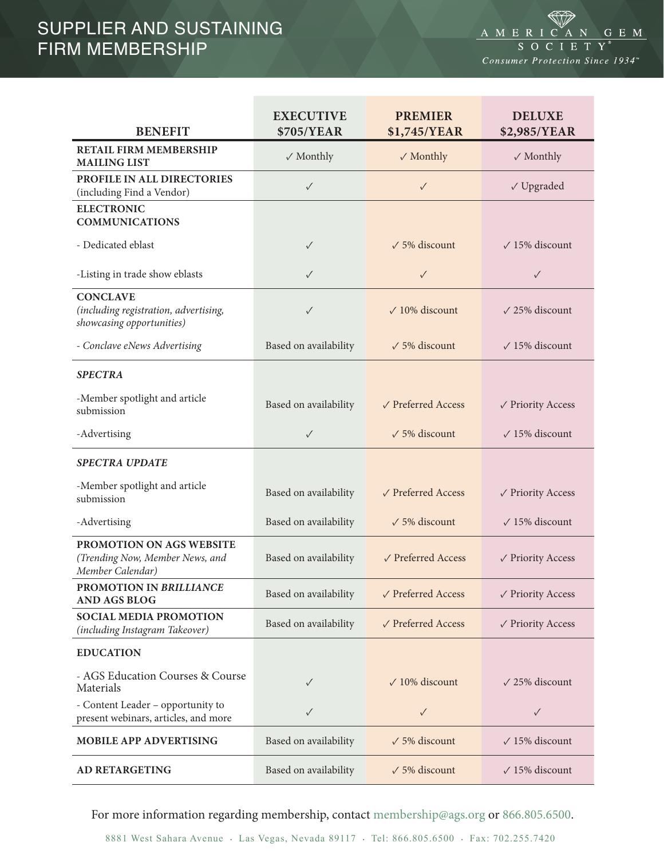## SUPPLIER AND SUSTAINING FIRM MEMBERSHIP

WW G E M E  $\mathbb{R}$ N SOCIETY Consumer Protection Since  $1934^{\circ}$ 

| <b>BENEFIT</b>                                                                        | <b>EXECUTIVE</b><br>\$705/YEAR | <b>PREMIER</b><br>\$1,745/YEAR | <b>DELUXE</b><br>\$2,985/YEAR |
|---------------------------------------------------------------------------------------|--------------------------------|--------------------------------|-------------------------------|
| RETAIL FIRM MEMBERSHIP<br><b>MAILING LIST</b>                                         | $\sqrt{}$ Monthly              | $\sqrt{}$ Monthly              | $\checkmark$ Monthly          |
| PROFILE IN ALL DIRECTORIES<br>(including Find a Vendor)                               | $\checkmark$                   | $\checkmark$                   | √ Upgraded                    |
| <b>ELECTRONIC</b><br><b>COMMUNICATIONS</b>                                            |                                |                                |                               |
| - Dedicated eblast                                                                    | $\checkmark$                   | $\sqrt{5\%}$ discount          | $\sqrt{15\%}$ discount        |
| -Listing in trade show eblasts                                                        | $\checkmark$                   | $\checkmark$                   | $\checkmark$                  |
| <b>CONCLAVE</b><br>(including registration, advertising,<br>showcasing opportunities) | $\checkmark$                   | $\sqrt{10\%}$ discount         | $\sqrt{25\%}$ discount        |
| - Conclave eNews Advertising                                                          | Based on availability          | $\sqrt{5\%}$ discount          | $\sqrt{15\%}$ discount        |
| <b>SPECTRA</b>                                                                        |                                |                                |                               |
| -Member spotlight and article<br>submission                                           | Based on availability          | √ Preferred Access             | √ Priority Access             |
| -Advertising                                                                          | $\checkmark$                   | $\sqrt{5\%}$ discount          | $\sqrt{15\%}$ discount        |
| <b>SPECTRA UPDATE</b>                                                                 |                                |                                |                               |
| -Member spotlight and article<br>submission                                           | Based on availability          | √ Preferred Access             | √ Priority Access             |
| -Advertising                                                                          | Based on availability          | $\sqrt{5\%}$ discount          | $\sqrt{15\%}$ discount        |
| PROMOTION ON AGS WEBSITE<br>(Trending Now, Member News, and<br>Member Calendar)       | Based on availability          | √ Preferred Access             | √ Priority Access             |
| PROMOTION IN BRILLIANCE<br><b>AND AGS BLOG</b>                                        | Based on availability          | √ Preferred Access             | √ Priority Access             |
| <b>SOCIAL MEDIA PROMOTION</b><br>(including Instagram Takeover)                       | Based on availability          | √ Preferred Access             | √ Priority Access             |
| <b>EDUCATION</b>                                                                      |                                |                                |                               |
| - AGS Education Courses & Course<br>Materials                                         | ✓                              | $\sqrt{10\%}$ discount         | $\sqrt{25\%}$ discount        |
| - Content Leader - opportunity to<br>present webinars, articles, and more             | ✓                              | $\checkmark$                   | $\checkmark$                  |
| MOBILE APP ADVERTISING                                                                | Based on availability          | $\sqrt{5\%}$ discount          | $\sqrt{15\%}$ discount        |
| <b>AD RETARGETING</b>                                                                 | Based on availability          | $\sqrt{5\%}$ discount          | $\sqrt{15\%}$ discount        |

For more information regarding membership, contact membership@ags.org or 866.805.6500.

8881 West Sahara Avenue • Las Vegas, Nevada 89117 • Tel: 866.805.6500 • Fax: 702.255.7420